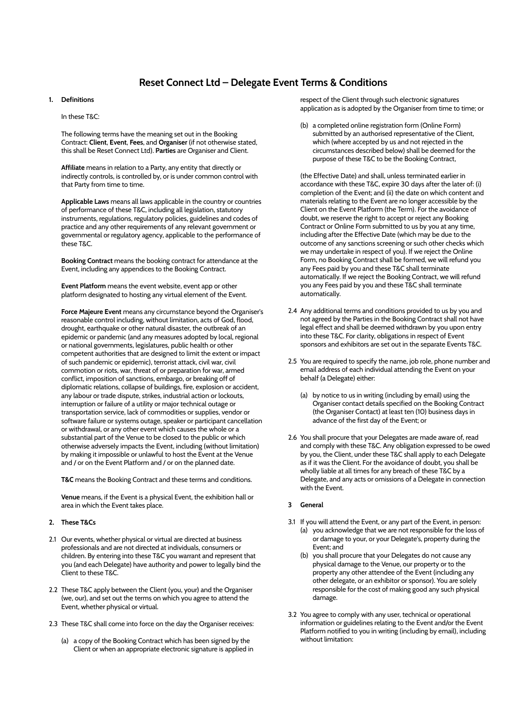# **Reset Connect Ltd – Delegate Event Terms & Conditions**

# **1. Definitions**

In these T&C:

The following terms have the meaning set out in the Booking Contract: **Client**, **Event**, **Fees**, and **Organiser** (if not otherwise stated, this shall be Reset Connect Ltd). **Parties** are Organiser and Client.

**Affiliate** means in relation to a Party, any entity that directly or indirectly controls, is controlled by, or is under common control with that Party from time to time.

**Applicable Laws** means all laws applicable in the country or countries of performance of these T&C, including all legislation, statutory instruments, regulations, regulatory policies, guidelines and codes of practice and any other requirements of any relevant government or governmental or regulatory agency, applicable to the performance of these T&C.

**Booking Contract** means the booking contract for attendance at the Event, including any appendices to the Booking Contract.

**Event Platform** means the event website, event app or other platform designated to hosting any virtual element of the Event.

**Force Majeure Event** means any circumstance beyond the Organiser's reasonable control including, without limitation, acts of God, flood, drought, earthquake or other natural disaster, the outbreak of an epidemic or pandemic (and any measures adopted by local, regional or national governments, legislatures, public health or other competent authorities that are designed to limit the extent or impact of such pandemic or epidemic), terrorist attack, civil war, civil commotion or riots, war, threat of or preparation for war, armed conflict, imposition of sanctions, embargo, or breaking off of diplomatic relations, collapse of buildings, fire, explosion or accident, any labour or trade dispute, strikes, industrial action or lockouts, interruption or failure of a utility or major technical outage or transportation service, lack of commodities or supplies, vendor or software failure or systems outage, speaker or participant cancellation or withdrawal, or any other event which causes the whole or a substantial part of the Venue to be closed to the public or which otherwise adversely impacts the Event, including (without limitation) by making it impossible or unlawful to host the Event at the Venue and / or on the Event Platform and / or on the planned date.

**T&C** means the Booking Contract and these terms and conditions.

**Venue** means, if the Event is a physical Event, the exhibition hall or area in which the Event takes place.

## **2. These T&Cs**

- 2.1 Our events, whether physical or virtual are directed at business professionals and are not directed at individuals, consumers or children. By entering into these T&C you warrant and represent that you (and each Delegate) have authority and power to legally bind the Client to these T&C.
- 2.2 These T&C apply between the Client (you, your) and the Organiser (we, our), and set out the terms on which you agree to attend the Event, whether physical or virtual.
- 2.3 These T&C shall come into force on the day the Organiser receives:
	- (a) a copy of the Booking Contract which has been signed by the Client or when an appropriate electronic signature is applied in

respect of the Client through such electronic signatures application as is adopted by the Organiser from time to time; or

(b) a completed online registration form (Online Form) submitted by an authorised representative of the Client, which (where accepted by us and not rejected in the circumstances described below) shall be deemed for the purpose of these T&C to be the Booking Contract,

(the Effective Date) and shall, unless terminated earlier in accordance with these T&C, expire 30 days after the later of: (i) completion of the Event; and (ii) the date on which content and materials relating to the Event are no longer accessible by the Client on the Event Platform (the Term). For the avoidance of doubt, we reserve the right to accept or reject any Booking Contract or Online Form submitted to us by you at any time, including after the Effective Date (which may be due to the outcome of any sanctions screening or such other checks which we may undertake in respect of you). If we reject the Online Form, no Booking Contract shall be formed, we will refund you any Fees paid by you and these T&C shall terminate automatically. If we reject the Booking Contract, we will refund you any Fees paid by you and these T&C shall terminate automatically.

- 2.4 Any additional terms and conditions provided to us by you and not agreed by the Parties in the Booking Contract shall not have legal effect and shall be deemed withdrawn by you upon entry into these T&C. For clarity, obligations in respect of Event sponsors and exhibitors are set out in the separate Events T&C.
- 2.5 You are required to specify the name, job role, phone number and email address of each individual attending the Event on your behalf (a Delegate) either:
	- (a) by notice to us in writing (including by email) using the Organiser contact details specified on the Booking Contract (the Organiser Contact) at least ten (10) business days in advance of the first day of the Event; or
- 2.6 You shall procure that your Delegates are made aware of, read and comply with these T&C. Any obligation expressed to be owed by you, the Client, under these T&C shall apply to each Delegate as if it was the Client. For the avoidance of doubt, you shall be wholly liable at all times for any breach of these T&C by a Delegate, and any acts or omissions of a Delegate in connection with the Event.

# **3 General**

- 3.1 If you will attend the Event, or any part of the Event, in person: (a) you acknowledge that we are not responsible for the loss of or damage to your, or your Delegate's, property during the Event; and
	- (b) you shall procure that your Delegates do not cause any physical damage to the Venue, our property or to the property any other attendee of the Event (including any other delegate, or an exhibitor or sponsor). You are solely responsible for the cost of making good any such physical damage.
- 3.2 You agree to comply with any user, technical or operational information or guidelines relating to the Event and/or the Event Platform notified to you in writing (including by email), including without limitation: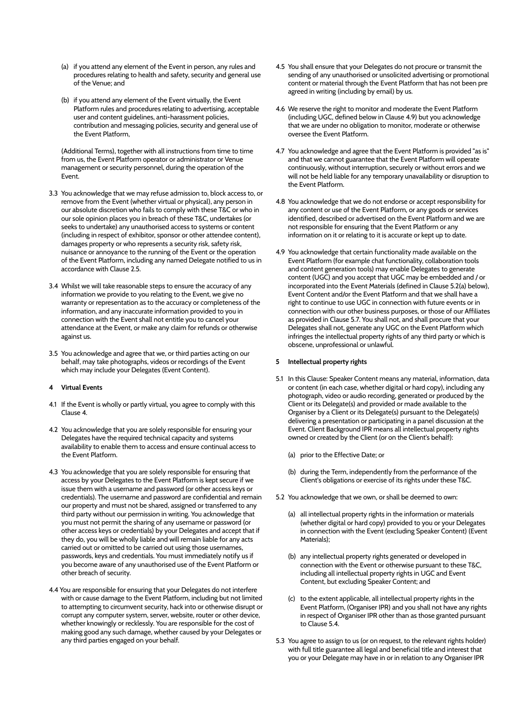- (a) if you attend any element of the Event in person, any rules and procedures relating to health and safety, security and general use of the Venue; and
- (b) if you attend any element of the Event virtually, the Event Platform rules and procedures relating to advertising, acceptable user and content guidelines, anti-harassment policies, contribution and messaging policies, security and general use of the Event Platform,

(Additional Terms), together with all instructions from time to time from us, the Event Platform operator or administrator or Venue management or security personnel, during the operation of the Event.

- 3.3 You acknowledge that we may refuse admission to, block access to, or remove from the Event (whether virtual or physical), any person in our absolute discretion who fails to comply with these T&C or who in our sole opinion places you in breach of these T&C, undertakes (or seeks to undertake) any unauthorised access to systems or content (including in respect of exhibitor, sponsor or other attendee content), damages property or who represents a security risk, safety risk, nuisance or annoyance to the running of the Event or the operation of the Event Platform, including any named Delegate notified to us in accordance with Clause 2.5.
- 3.4 Whilst we will take reasonable steps to ensure the accuracy of any information we provide to you relating to the Event, we give no warranty or representation as to the accuracy or completeness of the information, and any inaccurate information provided to you in connection with the Event shall not entitle you to cancel your attendance at the Event, or make any claim for refunds or otherwise against us.
- 3.5 You acknowledge and agree that we, or third parties acting on our behalf, may take photographs, videos or recordings of the Event which may include your Delegates (Event Content).

## **4 Virtual Events**

- 4.1 If the Event is wholly or partly virtual, you agree to comply with this Clause 4.
- 4.2 You acknowledge that you are solely responsible for ensuring your Delegates have the required technical capacity and systems availability to enable them to access and ensure continual access to the Event Platform.
- 4.3 You acknowledge that you are solely responsible for ensuring that access by your Delegates to the Event Platform is kept secure if we issue them with a username and password (or other access keys or credentials). The username and password are confidential and remain our property and must not be shared, assigned or transferred to any third party without our permission in writing. You acknowledge that you must not permit the sharing of any username or password (or other access keys or credentials) by your Delegates and accept that if they do, you will be wholly liable and will remain liable for any acts carried out or omitted to be carried out using those usernames, passwords, keys and credentials. You must immediately notify us if you become aware of any unauthorised use of the Event Platform or other breach of security.
- 4.4 You are responsible for ensuring that your Delegates do not interfere with or cause damage to the Event Platform, including but not limited to attempting to circumvent security, hack into or otherwise disrupt or corrupt any computer system, server, website, router or other device, whether knowingly or recklessly. You are responsible for the cost of making good any such damage, whether caused by your Delegates or any third parties engaged on your behalf.
- 4.5 You shall ensure that your Delegates do not procure or transmit the sending of any unauthorised or unsolicited advertising or promotional content or material through the Event Platform that has not been pre agreed in writing (including by email) by us.
- 4.6 We reserve the right to monitor and moderate the Event Platform (including UGC, defined below in Clause 4.9) but you acknowledge that we are under no obligation to monitor, moderate or otherwise oversee the Event Platform.
- 4.7 You acknowledge and agree that the Event Platform is provided "as is" and that we cannot guarantee that the Event Platform will operate continuously, without interruption, securely or without errors and we will not be held liable for any temporary unavailability or disruption to the Event Platform.
- 4.8 You acknowledge that we do not endorse or accept responsibility for any content or use of the Event Platform, or any goods or services identified, described or advertised on the Event Platform and we are not responsible for ensuring that the Event Platform or any information on it or relating to it is accurate or kept up to date.
- 4.9 You acknowledge that certain functionality made available on the Event Platform (for example chat functionality, collaboration tools and content generation tools) may enable Delegates to generate content (UGC) and you accept that UGC may be embedded and / or incorporated into the Event Materials (defined in Clause 5.2(a) below), Event Content and/or the Event Platform and that we shall have a right to continue to use UGC in connection with future events or in connection with our other business purposes, or those of our Affiliates as provided in Clause 5.7. You shall not, and shall procure that your Delegates shall not, generate any UGC on the Event Platform which infringes the intellectual property rights of any third party or which is obscene, unprofessional or unlawful.

## **5 Intellectual property rights**

- 5.1 In this Clause: Speaker Content means any material, information, data or content (in each case, whether digital or hard copy), including any photograph, video or audio recording, generated or produced by the Client or its Delegate(s) and provided or made available to the Organiser by a Client or its Delegate(s) pursuant to the Delegate(s) delivering a presentation or participating in a panel discussion at the Event. Client Background IPR means all intellectual property rights owned or created by the Client (or on the Client's behalf):
	- (a) prior to the Effective Date; or
	- (b) during the Term, independently from the performance of the Client's obligations or exercise of its rights under these T&C.
- 5.2 You acknowledge that we own, or shall be deemed to own:
	- (a) all intellectual property rights in the information or materials (whether digital or hard copy) provided to you or your Delegates in connection with the Event (excluding Speaker Content) (Event Materials);
	- (b) any intellectual property rights generated or developed in connection with the Event or otherwise pursuant to these T&C, including all intellectual property rights in UGC and Event Content, but excluding Speaker Content; and
	- (c) to the extent applicable, all intellectual property rights in the Event Platform, (Organiser IPR) and you shall not have any rights in respect of Organiser IPR other than as those granted pursuant to Clause 5.4.
- 5.3 You agree to assign to us (or on request, to the relevant rights holder) with full title guarantee all legal and beneficial title and interest that you or your Delegate may have in or in relation to any Organiser IPR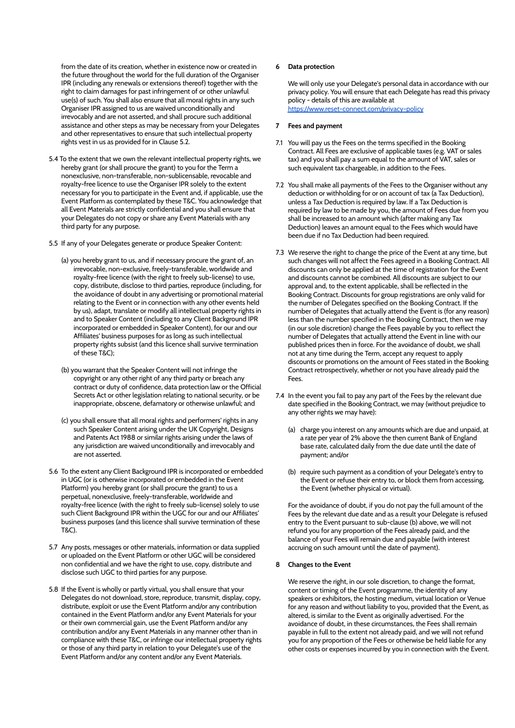from the date of its creation, whether in existence now or created in the future throughout the world for the full duration of the Organiser IPR (including any renewals or extensions thereof) together with the right to claim damages for past infringement of or other unlawful use(s) of such. You shall also ensure that all moral rights in any such Organiser IPR assigned to us are waived unconditionally and irrevocably and are not asserted, and shall procure such additional assistance and other steps as may be necessary from your Delegates and other representatives to ensure that such intellectual property rights vest in us as provided for in Clause 5.2.

- 5.4 To the extent that we own the relevant intellectual property rights, we hereby grant (or shall procure the grant) to you for the Term a nonexclusive, non-transferable, non-sublicensable, revocable and royalty-free licence to use the Organiser IPR solely to the extent necessary for you to participate in the Event and, if applicable, use the Event Platform as contemplated by these T&C. You acknowledge that all Event Materials are strictly confidential and you shall ensure that your Delegates do not copy or share any Event Materials with any third party for any purpose.
- 5.5 If any of your Delegates generate or produce Speaker Content:
	- (a) you hereby grant to us, and if necessary procure the grant of, an irrevocable, non-exclusive, freely-transferable, worldwide and royalty-free licence (with the right to freely sub-license) to use, copy, distribute, disclose to third parties, reproduce (including, for the avoidance of doubt in any advertising or promotional material relating to the Event or in connection with any other events held by us), adapt, translate or modify all intellectual property rights in and to Speaker Content (including to any Client Background IPR incorporated or embedded in Speaker Content), for our and our Affiliates' business purposes for as long as such intellectual property rights subsist (and this licence shall survive termination of these T&C);
	- (b) you warrant that the Speaker Content will not infringe the copyright or any other right of any third party or breach any contract or duty of confidence, data protection law or the Official Secrets Act or other legislation relating to national security, or be inappropriate, obscene, defamatory or otherwise unlawful; and
	- (c) you shall ensure that all moral rights and performers' rights in any such Speaker Content arising under the UK Copyright, Designs and Patents Act 1988 or similar rights arising under the laws of any jurisdiction are waived unconditionally and irrevocably and are not asserted.
- 5.6 To the extent any Client Background IPR is incorporated or embedded in UGC (or is otherwise incorporated or embedded in the Event Platform) you hereby grant (or shall procure the grant) to us a perpetual, nonexclusive, freely-transferable, worldwide and royalty-free licence (with the right to freely sub-license) solely to use such Client Background IPR within the UGC for our and our Affiliates' business purposes (and this licence shall survive termination of these T&C).
- 5.7 Any posts, messages or other materials, information or data supplied or uploaded on the Event Platform or other UGC will be considered non confidential and we have the right to use, copy, distribute and disclose such UGC to third parties for any purpose.
- 5.8 If the Event is wholly or partly virtual, you shall ensure that your Delegates do not download, store, reproduce, transmit, display, copy, distribute, exploit or use the Event Platform and/or any contribution contained in the Event Platform and/or any Event Materials for your or their own commercial gain, use the Event Platform and/or any contribution and/or any Event Materials in any manner other than in compliance with these T&C, or infringe our intellectual property rights or those of any third party in relation to your Delegate's use of the Event Platform and/or any content and/or any Event Materials.

## **6 Data protection**

We will only use your Delegate's personal data in accordance with our privacy policy. You will ensure that each Delegate has read this privacy policy - details of this are available at https://www.reset-connect.com/privacy-policy

## **7 Fees and payment**

- 7.1 You will pay us the Fees on the terms specified in the Booking Contract. All Fees are exclusive of applicable taxes (e.g. VAT or sales tax) and you shall pay a sum equal to the amount of VAT, sales or such equivalent tax chargeable, in addition to the Fees.
- 7.2 You shall make all payments of the Fees to the Organiser without any deduction or withholding for or on account of tax (a Tax Deduction), unless a Tax Deduction is required by law. If a Tax Deduction is required by law to be made by you, the amount of Fees due from you shall be increased to an amount which (after making any Tax Deduction) leaves an amount equal to the Fees which would have been due if no Tax Deduction had been required.
- 7.3 We reserve the right to change the price of the Event at any time, but such changes will not affect the Fees agreed in a Booking Contract. All discounts can only be applied at the time of registration for the Event and discounts cannot be combined. All discounts are subject to our approval and, to the extent applicable, shall be reflected in the Booking Contract. Discounts for group registrations are only valid for the number of Delegates specified on the Booking Contract. If the number of Delegates that actually attend the Event is (for any reason) less than the number specified in the Booking Contract, then we may (in our sole discretion) change the Fees payable by you to reflect the number of Delegates that actually attend the Event in line with our published prices then in force. For the avoidance of doubt, we shall not at any time during the Term, accept any request to apply discounts or promotions on the amount of Fees stated in the Booking Contract retrospectively, whether or not you have already paid the Fees.
- 7.4 In the event you fail to pay any part of the Fees by the relevant due date specified in the Booking Contract, we may (without prejudice to any other rights we may have):
	- (a) charge you interest on any amounts which are due and unpaid, at a rate per year of 2% above the then current Bank of England base rate, calculated daily from the due date until the date of payment; and/or
	- (b) require such payment as a condition of your Delegate's entry to the Event or refuse their entry to, or block them from accessing, the Event (whether physical or virtual).

For the avoidance of doubt, if you do not pay the full amount of the Fees by the relevant due date and as a result your Delegate is refused entry to the Event pursuant to sub-clause (b) above, we will not refund you for any proportion of the Fees already paid, and the balance of your Fees will remain due and payable (with interest accruing on such amount until the date of payment).

#### **8 Changes to the Event**

We reserve the right, in our sole discretion, to change the format, content or timing of the Event programme, the identity of any speakers or exhibitors, the hosting medium, virtual location or Venue for any reason and without liability to you, provided that the Event, as altered, is similar to the Event as originally advertised. For the avoidance of doubt, in these circumstances, the Fees shall remain payable in full to the extent not already paid, and we will not refund you for any proportion of the Fees or otherwise be held liable for any other costs or expenses incurred by you in connection with the Event.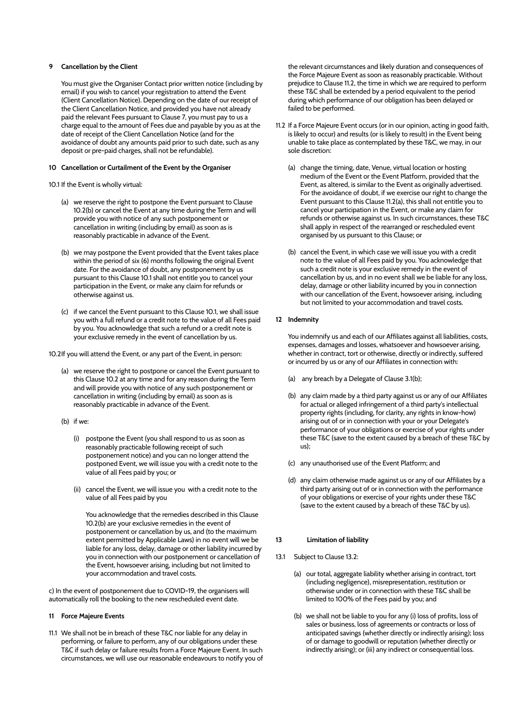# **9 Cancellation by the Client**

You must give the Organiser Contact prior written notice (including by email) if you wish to cancel your registration to attend the Event (Client Cancellation Notice). Depending on the date of our receipt of the Client Cancellation Notice, and provided you have not already paid the relevant Fees pursuant to Clause 7, you must pay to us a charge equal to the amount of Fees due and payable by you as at the date of receipt of the Client Cancellation Notice (and for the avoidance of doubt any amounts paid prior to such date, such as any deposit or pre-paid charges, shall not be refundable).

## **10 Cancellation or Curtailment of the Event by the Organiser**

# 10.1 If the Event is wholly virtual:

- (a) we reserve the right to postpone the Event pursuant to Clause 10.2(b) or cancel the Event at any time during the Term and will provide you with notice of any such postponement or cancellation in writing (including by email) as soon as is reasonably practicable in advance of the Event.
- (b) we may postpone the Event provided that the Event takes place within the period of six (6) months following the original Event date. For the avoidance of doubt, any postponement by us pursuant to this Clause 10.1 shall not entitle you to cancel your participation in the Event, or make any claim for refunds or otherwise against us.
- (c) if we cancel the Event pursuant to this Clause 10.1, we shall issue you with a full refund or a credit note to the value of all Fees paid by you. You acknowledge that such a refund or a credit note is your exclusive remedy in the event of cancellation by us.

10.2If you will attend the Event, or any part of the Event, in person:

- (a) we reserve the right to postpone or cancel the Event pursuant to this Clause 10.2 at any time and for any reason during the Term and will provide you with notice of any such postponement or cancellation in writing (including by email) as soon as is reasonably practicable in advance of the Event.
- (b) if we:
	- (i) postpone the Event (you shall respond to us as soon as reasonably practicable following receipt of such postponement notice) and you can no longer attend the postponed Event, we will issue you with a credit note to the value of all Fees paid by you; or
	- (ii) cancel the Event, we will issue you with a credit note to the value of all Fees paid by you

You acknowledge that the remedies described in this Clause 10.2(b) are your exclusive remedies in the event of postponement or cancellation by us, and (to the maximum extent permitted by Applicable Laws) in no event will we be liable for any loss, delay, damage or other liability incurred by you in connection with our postponement or cancellation of the Event, howsoever arising, including but not limited to your accommodation and travel costs.

c) In the event of postponement due to COVID-19, the organisers will automatically roll the booking to the new rescheduled event date.

## **11 Force Majeure Events**

11.1 We shall not be in breach of these T&C nor liable for any delay in performing, or failure to perform, any of our obligations under these T&C if such delay or failure results from a Force Majeure Event. In such circumstances, we will use our reasonable endeavours to notify you of the relevant circumstances and likely duration and consequences of the Force Majeure Event as soon as reasonably practicable. Without prejudice to Clause 11.2, the time in which we are required to perform these T&C shall be extended by a period equivalent to the period during which performance of our obligation has been delayed or failed to be performed.

- 11.2 If a Force Majeure Event occurs (or in our opinion, acting in good faith, is likely to occur) and results (or is likely to result) in the Event being unable to take place as contemplated by these T&C, we may, in our sole discretion:
	- (a) change the timing, date, Venue, virtual location or hosting medium of the Event or the Event Platform, provided that the Event, as altered, is similar to the Event as originally advertised. For the avoidance of doubt, if we exercise our right to change the Event pursuant to this Clause 11.2(a), this shall not entitle you to cancel your participation in the Event, or make any claim for refunds or otherwise against us. In such circumstances, these T&C shall apply in respect of the rearranged or rescheduled event organised by us pursuant to this Clause; or
	- (b) cancel the Event, in which case we will issue you with a credit note to the value of all Fees paid by you. You acknowledge that such a credit note is your exclusive remedy in the event of cancellation by us, and in no event shall we be liable for any loss, delay, damage or other liability incurred by you in connection with our cancellation of the Event, howsoever arising, including but not limited to your accommodation and travel costs.
- **12 Indemnity**

You indemnify us and each of our Affiliates against all liabilities, costs, expenses, damages and losses, whatsoever and howsoever arising, whether in contract, tort or otherwise, directly or indirectly, suffered or incurred by us or any of our Affiliates in connection with:

- (a) any breach by a Delegate of Clause 3.1(b);
- (b) any claim made by a third party against us or any of our Affiliates for actual or alleged infringement of a third party's intellectual property rights (including, for clarity, any rights in know-how) arising out of or in connection with your or your Delegate's performance of your obligations or exercise of your rights under these T&C (save to the extent caused by a breach of these T&C by us);
- (c) any unauthorised use of the Event Platform; and
- (d) any claim otherwise made against us or any of our Affiliates by a third party arising out of or in connection with the performance of your obligations or exercise of your rights under these T&C (save to the extent caused by a breach of these T&C by us).

## **13 Limitation of liability**

- 13.1 Subject to Clause 13.2:
	- (a) our total, aggregate liability whether arising in contract, tort (including negligence), misrepresentation, restitution or otherwise under or in connection with these T&C shall be limited to 100% of the Fees paid by you; and
	- (b) we shall not be liable to you for any (i) loss of profits, loss of sales or business, loss of agreements or contracts or loss of anticipated savings (whether directly or indirectly arising); loss of or damage to goodwill or reputation (whether directly or indirectly arising); or (iii) any indirect or consequential loss.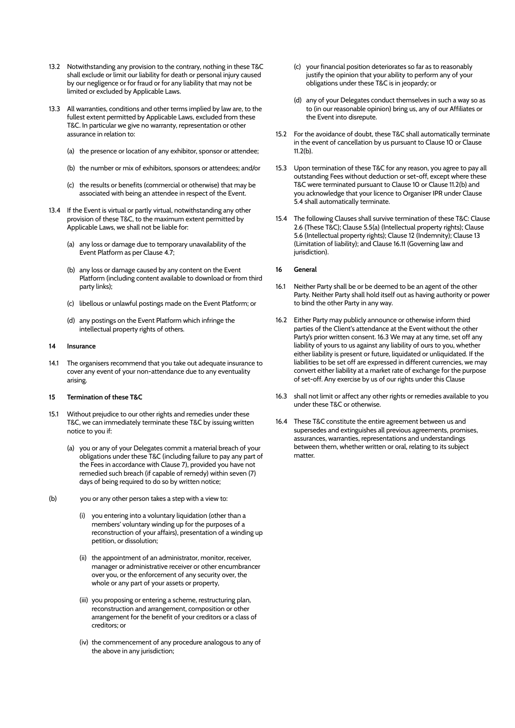- 13.2 Notwithstanding any provision to the contrary, nothing in these T&C shall exclude or limit our liability for death or personal injury caused by our negligence or for fraud or for any liability that may not be limited or excluded by Applicable Laws.
- 13.3 All warranties, conditions and other terms implied by law are, to the fullest extent permitted by Applicable Laws, excluded from these T&C. In particular we give no warranty, representation or other assurance in relation to:
	- (a) the presence or location of any exhibitor, sponsor or attendee;
	- (b) the number or mix of exhibitors, sponsors or attendees; and/or
	- (c) the results or benefits (commercial or otherwise) that may be associated with being an attendee in respect of the Event.
- 13.4 If the Event is virtual or partly virtual, notwithstanding any other provision of these T&C, to the maximum extent permitted by Applicable Laws, we shall not be liable for:
	- (a) any loss or damage due to temporary unavailability of the Event Platform as per Clause 4.7;
	- (b) any loss or damage caused by any content on the Event Platform (including content available to download or from third party links);
	- (c) libellous or unlawful postings made on the Event Platform; or
	- (d) any postings on the Event Platform which infringe the intellectual property rights of others.
- **14 Insurance**
- 14.1 The organisers recommend that you take out adequate insurance to cover any event of your non-attendance due to any eventuality arising.

## **15 Termination of these T&C**

- 15.1 Without prejudice to our other rights and remedies under these T&C, we can immediately terminate these T&C by issuing written notice to you if:
	- (a) you or any of your Delegates commit a material breach of your obligations under these T&C (including failure to pay any part of the Fees in accordance with Clause 7), provided you have not remedied such breach (if capable of remedy) within seven (7) days of being required to do so by written notice;
- (b) you or any other person takes a step with a view to:
	- (i) you entering into a voluntary liquidation (other than a members' voluntary winding up for the purposes of a reconstruction of your affairs), presentation of a winding up petition, or dissolution;
	- (ii) the appointment of an administrator, monitor, receiver, manager or administrative receiver or other encumbrancer over you, or the enforcement of any security over, the whole or any part of your assets or property,
	- (iii) you proposing or entering a scheme, restructuring plan, reconstruction and arrangement, composition or other arrangement for the benefit of your creditors or a class of creditors; or
	- (iv) the commencement of any procedure analogous to any of the above in any jurisdiction;
- (c) your financial position deteriorates so far as to reasonably justify the opinion that your ability to perform any of your obligations under these T&C is in jeopardy; or
- (d) any of your Delegates conduct themselves in such a way so as to (in our reasonable opinion) bring us, any of our Affiliates or the Event into disrepute.
- 15.2 For the avoidance of doubt, these T&C shall automatically terminate in the event of cancellation by us pursuant to Clause 10 or Clause 11.2(b).
- 15.3 Upon termination of these T&C for any reason, you agree to pay all outstanding Fees without deduction or set-off, except where these T&C were terminated pursuant to Clause 10 or Clause 11.2(b) and you acknowledge that your licence to Organiser IPR under Clause 5.4 shall automatically terminate.
- 15.4 The following Clauses shall survive termination of these T&C: Clause 2.6 (These T&C); Clause 5.5(a) (Intellectual property rights); Clause 5.6 (Intellectual property rights); Clause 12 (Indemnity); Clause 13 (Limitation of liability); and Clause 16.11 (Governing law and jurisdiction).
- **16 General**
- 16.1 Neither Party shall be or be deemed to be an agent of the other Party. Neither Party shall hold itself out as having authority or power to bind the other Party in any way.
- 16.2 Either Party may publicly announce or otherwise inform third parties of the Client's attendance at the Event without the other Party's prior written consent. 16.3 We may at any time, set off any liability of yours to us against any liability of ours to you, whether either liability is present or future, liquidated or unliquidated. If the liabilities to be set off are expressed in different currencies, we may convert either liability at a market rate of exchange for the purpose of set-off. Any exercise by us of our rights under this Clause
- 16.3 shall not limit or affect any other rights or remedies available to you under these T&C or otherwise.
- 16.4 These T&C constitute the entire agreement between us and supersedes and extinguishes all previous agreements, promises, assurances, warranties, representations and understandings between them, whether written or oral, relating to its subject matter.